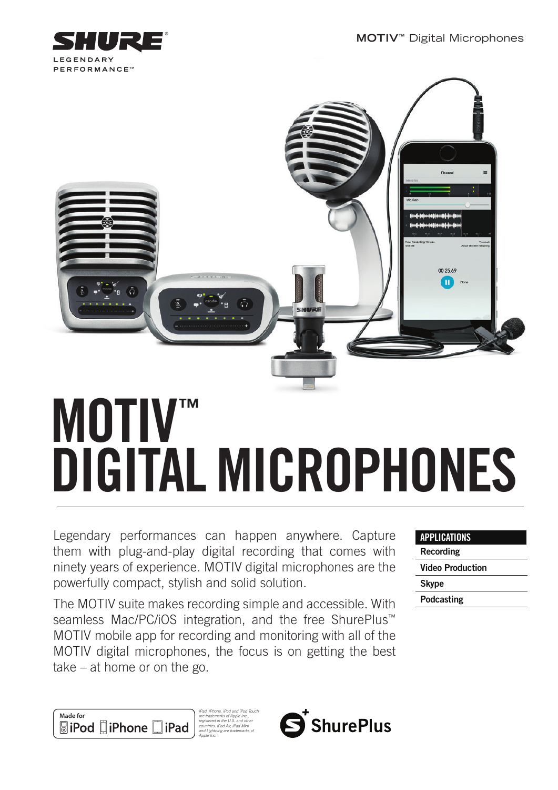**MOTIV™** Digital Microphones





# MOTIV™ DIGITAL MICROPHONES

Legendary performances can happen anywhere. Capture them with plug-and-play digital recording that comes with ninety years of experience. MOTIV digital microphones are the powerfully compact, stylish and solid solution.

The MOTIV suite makes recording simple and accessible. With seamless Mac/PC/iOS integration, and the free ShurePlus<sup>™</sup> MOTIV mobile app for recording and monitoring with all of the MOTIV digital microphones, the focus is on getting the best take – at home or on the go.

| <b>APPLICATIONS</b>     |
|-------------------------|
| <b>Recording</b>        |
| <b>Video Production</b> |
| <b>Skype</b>            |
| Podcasting              |
|                         |





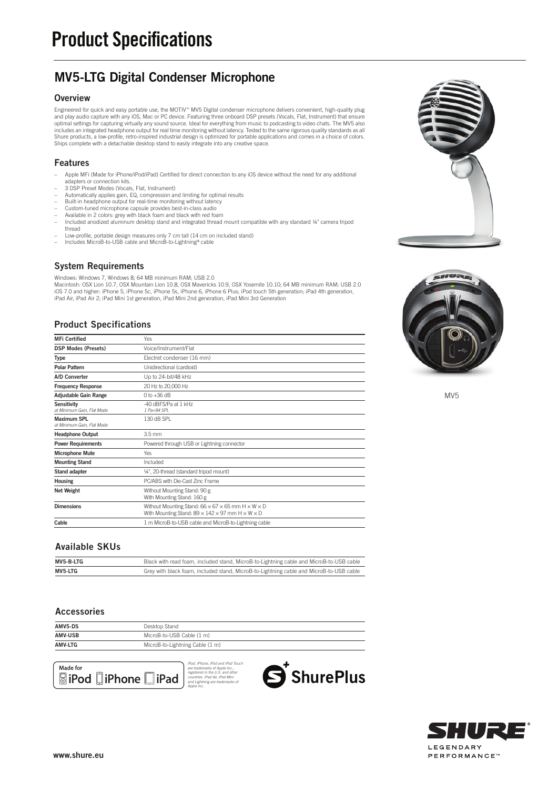## MV5-LTG Digital Condenser Microphone

#### **Overview**

Engineered for quick and easy portable use, the MOTIV™ MV5 Digital condenser microphone delivers convenient, high-quality plug<br>and play audio capture with any iOS, Mac or PC device. Featuring three onboard DSP presets (Vo includes an integrated headphone output for real time monitoring without latency. Tested to the same rigorous quality standards as all Shure products, a low-profile, retro-inspired industrial design is optimized for portable applications and comes in a choice of colors. Ships complete with a detachable desktop stand to easily integrate into any creative space.

#### Features

- Apple MFi (Made for iPhone/iPod/iPad) Certified for direct connection to any iOS device without the need for any additional
- adapters or connection kits. 3 DSP Preset Modes (Vocals, Flat, Instrument)
- Automatically applies gain, EQ, compression and limiting for optimal results
- Built-in headphone output for real-time monitoring without latency Custom-tuned microphone capsule provides best-in-class audio
- 
- Available in 2 colors: grey with black foam and black with red foam Included anodized aluminum desktop stand and integrated thread mount compatible with any standard ¼" camera tripod
- thread
- Low-profile, portable design measures only 7 cm tall (14 cm on included stand) Includes MicroB-to-USB cable and MicroB-to-Lightning® cable
- 

#### System Requirements

Windows: Windows 7, Windows 8; 64 MB minimum RAM; USB 2.0 Macintosh: OSX Lion 10.7, OSX Mountain Lion 10.8, OSX Mavericks 10.9, OSX Yosemite 10.10; 64 MB minimum RAM; USB 2.0<br>iOS 7.0 and higher: iPhone 5, iPhone 5c, iPhone 5s, iPhone 6, iPhone 6 Plus; iPod touch 5th generation; i

#### Product Specifications

| Yes                                                                                                                                                      |
|----------------------------------------------------------------------------------------------------------------------------------------------------------|
| Voice/Instrument/Flat                                                                                                                                    |
| Electret condenser (16 mm)                                                                                                                               |
| Unidirectional (cardioid)                                                                                                                                |
| Up to 24-bit/48 kHz                                                                                                                                      |
| 20 Hz to 20,000 Hz                                                                                                                                       |
| $0$ to $+36$ dB                                                                                                                                          |
| -40 dBFS/Pa at 1 kHz<br>1 Pa=94 SPL                                                                                                                      |
| 130 dB SPL                                                                                                                                               |
| $3.5$ mm                                                                                                                                                 |
| Powered through USB or Lightning connector                                                                                                               |
| Yes                                                                                                                                                      |
| Included                                                                                                                                                 |
| 1/4", 20-thread (standard tripod mount)                                                                                                                  |
| PC/ABS with Die-Cast Zinc Frame                                                                                                                          |
| Without Mounting Stand: 90 g<br>With Mounting Stand: 160 g                                                                                               |
| Without Mounting Stand: $66 \times 67 \times 65$ mm H $\times$ W $\times$ D<br>With Mounting Stand: $89 \times 142 \times 97$ mm H $\times$ W $\times$ D |
| 1 m MicroB-to-USB cable and MicroB-to-Lightning cable                                                                                                    |
|                                                                                                                                                          |

#### Available SKUs

| MV5-B-LTG | Black with read foam, included stand, MicroB-to-Lightning cable and MicroB-to-USB cable |
|-----------|-----------------------------------------------------------------------------------------|
| MV5-LTG   | Grey with black foam, included stand, MicroB-to-Lightning cable and MicroB-to-USB cable |

#### Accessories

| <b>AMV5-DS</b> | Desktop Stand                   |  |
|----------------|---------------------------------|--|
| <b>AMV-USB</b> | MicroB-to-USB Cable (1 m)       |  |
| <b>AMV-LTG</b> | MicroB-to-Lightning Cable (1 m) |  |











MV5

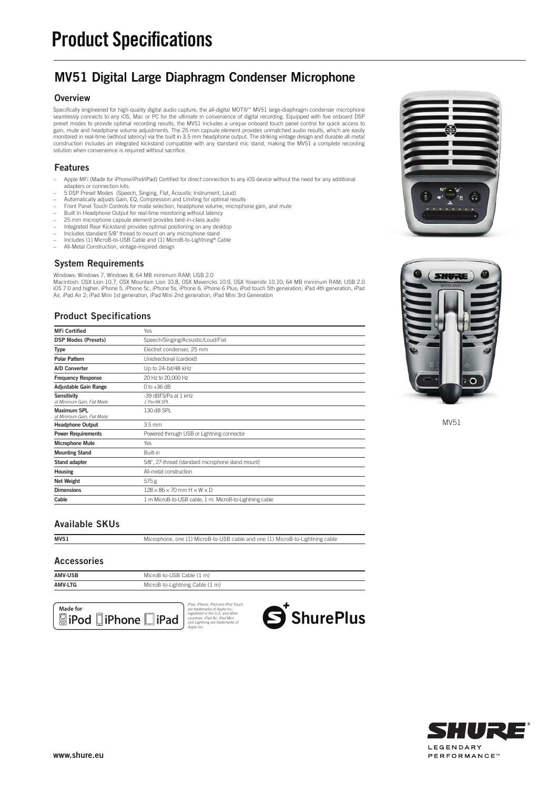## MV51 Digital Large Diaphragm Condenser Microphone

#### **Overview**

Specifically engineered for high-quality digital audio capture, the all-digital MOTIV™ MV51 large-diaphragm condenser microphone<br>seamlessly connects to any iOS, Mac or PC for the ultimate in convenience of digital recordin gain, mute and headphone volume adjustments. The 25 mm capsule element provides unmatched audio results, which are easily<br>monitored in real-time (without latency) via the built in 3.5 mm headphone output. The striking vint construction includes an integrated kickstand compatible with any standard mic stand, making the MV51 a complete recording solution when convenience is required without sacrifice.

#### Features

- Apple MFi (Made for iPhone/iPod/iPad) Certified for direct connection to any iOS device without the need for any additional
- adapters or connection kits. 5 DSP Preset Modes (Speech, Singing, Flat, Acoustic Instrument, Loud)
- Automatically adjusts Gain, EQ, Compression and Limiting for optimal results
- Front Panel Touch Controls for mode selection, headphone volume, microphone gain, and mute – Built In Headphone Output for real-time monitoring without latency
- 
- 25 mm microphone capsule element provides best-in-class audio Integrated Rear Kickstand provides optimal positioning on any desktop
- 
- Includes standard 5/8" thread to mount on any microphone stand Includes (1) MicroB-to-USB Cable and (1) MicroB-to-Lightning® Cable
- All-Metal Construction, vintage-inspired design

#### System Requirements

Windows: Windows 7, Windows 8; 64 MB minimum RAM; USB 2.0

Macintosh: OSX Lion 10.7, OSX Mountain Lion 10.8, OSX Mavericks 10.9, OSX Yosemite 10.10; 64 MB minimum RAM; USB 2.0<br>iOS 7.0 and higher: iPhone 5, iPhone 5c, iPhone 5s, iPhone 6, iPhone 6 Plus; iPod touch 5th generation; i

#### Product Specifications

| <b>MFi Certified</b>                             | <b>Yes</b>                                              |
|--------------------------------------------------|---------------------------------------------------------|
| <b>DSP Modes (Presets)</b>                       | Speech/Singing/Acoustic/Loud/Flat                       |
| <b>Type</b>                                      | Electret condenser, 25 mm                               |
| <b>Polar Pattern</b>                             | Unidirectional (cardioid)                               |
| A/D Converter                                    | Up to 24-bit/48 kHz                                     |
| <b>Frequency Response</b>                        | 20 Hz to 20,000 Hz                                      |
| <b>Adjustable Gain Range</b>                     | $0$ to $+36$ dB                                         |
| <b>Sensitivity</b><br>at Minimum Gain, Flat Mode | -39 dBFS/Pa at 1 kHz<br>$1 Pa=94 SPI$                   |
| <b>Maximum SPL</b><br>at Minimum Gain, Flat Mode | 130 dB SPL                                              |
| <b>Headphone Output</b>                          | $3.5$ mm                                                |
| <b>Power Requirements</b>                        | Powered through USB or Lightning connector              |
| <b>Microphone Mute</b>                           | Yes                                                     |
| <b>Mounting Stand</b>                            | Built-in                                                |
| Stand adapter                                    | 5/8", 27-thread (standard microphone stand mount)       |
| <b>Housing</b>                                   | All-metal construction                                  |
| Net Weight                                       | 575g                                                    |
| <b>Dimensions</b>                                | $128 \times 86 \times 70$ mm $H \times W \times D$      |
| Cable                                            | 1 m MicroB-to-USB cable, 1 m. MicroB-to-Lightning cable |
|                                                  |                                                         |



MV51 Microphone, one (1) MicroB-to-USB cable and one (1) MicroB-to-Lightning cable

#### Accessories

| <b>AMV-USB</b> | MicroB-to-USB Cable (1 m)       |
|----------------|---------------------------------|
| <b>AMV-LTG</b> | MicroB-to-Lightning Cable (1 m) |











MV51

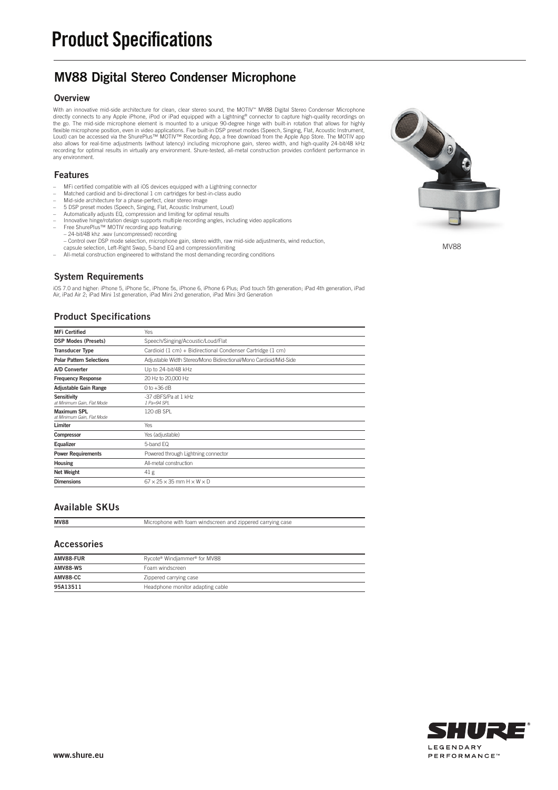## MV88 Digital Stereo Condenser Microphone

#### **Overview**

With an innovative mid-side architecture for clean, clear stereo sound, the MOTIV''' MV88 Digital Stereo Condenser Microphone<br>directly connects to any Apple iPhone, iPod or iPad equipped with a Lightning® connector to capt flexible microphone position, even in video applications. Five built-in DSP preset modes (Speech, Singing, Flat, Acoustic Instrument,<br>Loud) can be accessed via the ShurePlus™ MOTIV™ Recording App, a free download from the also allows for real-time adjustments (without latency) including microphone gain, stereo width, and high-quality 24-bit/48 kHz<br>recording for optimal results in virtually any environment. Shure-tested, all-metal constructi any environment.

#### Features

- MFi certified compatible with all iOS devices equipped with a Lightning connector
- Matched cardioid and bi-directional 1 cm cartridges for best-in-class audio Mid-side architecture for a phase-perfect, clear stereo image
- 
- 5 DSP preset modes (Speech, Singing, Flat, Acoustic Instrument, Loud) Automatically adjusts EQ, compression and limiting for optimal results
- -
	-
- Innovative hinge/rotation design supports multiple recording angles, including video applications<br>– Free ShurePlus™ MOTIV recording app featuring:<br>– 24-bit/48 khz .wav (uncompressed) recording<br>– Control over DSP mode se
- capsule selection, Left-Right Swap, 5-band EQ and compression/limiting
- All-metal construction engineered to withstand the most demanding recording conditions

#### System Requirements

iOS 7.0 and higher: iPhone 5, iPhone 5c, iPhone 5s, iPhone 6, iPhone 6 Plus; iPod touch 5th generation; iPad 4th generation, iPad<br>Air, iPad Air 2; iPad Mini 1st generation, iPad Mini 2nd generation, iPad Mini 3rd Generatio

#### Product Specifications

| <b>MFi Certified</b>                             | Yes                                                               |
|--------------------------------------------------|-------------------------------------------------------------------|
| <b>DSP Modes (Presets)</b>                       | Speech/Singing/Acoustic/Loud/Flat                                 |
| <b>Transducer Type</b>                           | Cardioid (1 cm) + Bidirectional Condenser Cartridge (1 cm)        |
| <b>Polar Pattern Selections</b>                  | Adjustable Width Stereo/Mono Bidirectional/Mono Cardioid/Mid-Side |
| <b>A/D Converter</b>                             | Up to 24-bit/48 kHz                                               |
| <b>Frequency Response</b>                        | 20 Hz to 20,000 Hz                                                |
| <b>Adjustable Gain Range</b>                     | $0$ to $+36$ dB                                                   |
| <b>Sensitivity</b><br>at Minimum Gain, Flat Mode | -37 dBFS/Pa at 1 kHz<br>$1 Pa=94 SPI$                             |
| <b>Maximum SPL</b><br>at Minimum Gain, Flat Mode | 120 dB SPL                                                        |
| Limiter                                          | <b>Yes</b>                                                        |
| Compressor                                       | Yes (adjustable)                                                  |
| Equalizer                                        | 5-band EQ                                                         |
| <b>Power Requirements</b>                        | Powered through Lightning connector                               |
| <b>Housing</b>                                   | All-metal construction                                            |
| Net Weight                                       | 41 <sub>g</sub>                                                   |
| <b>Dimensions</b>                                | $67 \times 25 \times 35$ mm $H \times W \times D$                 |

#### Available SKUs

MV88 Microphone with foam windscreen and zippered carrying case

#### Accessories

| AMV88-FUR       | Rycote® Windjammer® for MV88     |
|-----------------|----------------------------------|
| <b>AMV88-WS</b> | Foam windscreen                  |
| AMV88-CC        | Zippered carrying case           |
| 95A13511        | Headphone monitor adapting cable |



MV88

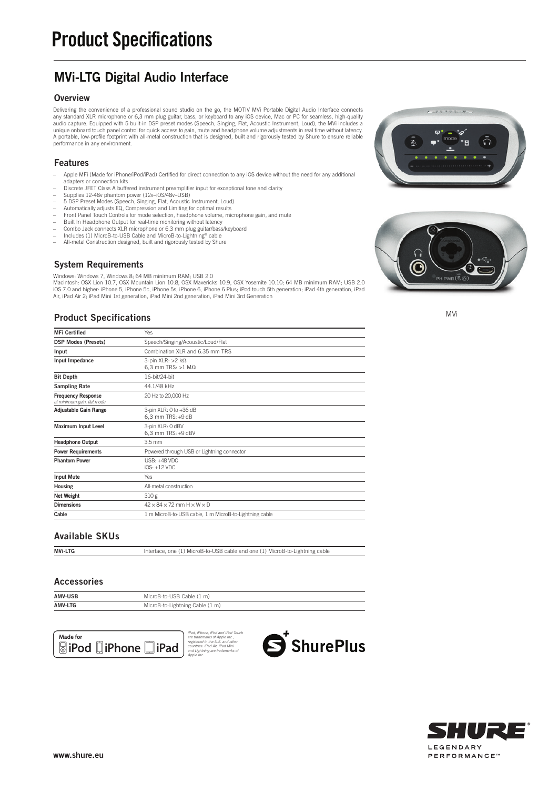## MVi-LTG Digital Audio Interface

#### **Overview**

Delivering the convenience of a professional sound studio on the go, the MOTIV MVi Portable Digital Audio Interface connects any standard XLR microphone or 6,3 mm plug guitar, bass, or keyboard to any iOS device, Mac or PC for seamless, high-quality<br>audio capture. Equipped with 5 built-in DSP preset modes (Speech, Singing, Flat, Acoustic Instrum unique onboard touch panel control for quick access to gain, mute and headphone volume adjustments in real time without latency. A portable, low-profile footprint with all-metal construction that is designed, built and rigorously tested by Shure to ensure reliable performance in any environment.

#### Features

- Apple MFi (Made for iPhone/iPod/iPad) Certified for direct connection to any iOS device without the need for any additional
- adapters or connection kits Discrete JFET Class A buffered instrument preamplifier input for exceptional tone and clarity
- Supplies 12-48v phantom power (12v–iOS/48v–USB)
- 5 DSP Preset Modes (Speech, Singing, Flat, Acoustic Instrument, Loud) Automatically adjusts EQ, Compression and Limiting for optimal results
- 
- Front Panel Touch Controls for mode selection, headphone volume, microphone gain, and mute Built In Headphone Output for real-time monitoring without latency
- 
- Combo Jack connects XLR microphone or 6,3 mm plug guitar/bass/keyboard – Includes (1) MicroB-to-USB Cable and MicroB-to-Lightning® cable
- All-metal Construction designed, built and rigorously tested by Shure

#### System Requirements

Windows: Windows 7, Windows 8; 64 MB minimum RAM; USB 2.0 Macintosh: OSX Lion 10.7, OSX Mountain Lion 10.8, OSX Mavericks 10.9, OSX Yosemite 10.10; 64 MB minimum RAM; USB 2.0<br>iOS 7.0 and higher: iPhone 5, iPhone 5c, iPhone 5s, iPhone 6, iPhone 6 Plus; iPod touch 5th generation; i Air, iPad Air 2; iPad Mini 1st generation, iPad Mini 2nd generation, iPad Mini 3rd Generation

#### Product Specifications

| <b>MFi Certified</b>                                    | <b>Yes</b>                                                |
|---------------------------------------------------------|-----------------------------------------------------------|
| <b>DSP Modes (Presets)</b>                              | Speech/Singing/Acoustic/Loud/Flat                         |
| Input                                                   | Combination XLR and 6.35 mm TRS                           |
| Input Impedance                                         | 3-pin XLR: $>2$ k $\Omega$<br>6.3 mm TRS: $>1$ M $\Omega$ |
| <b>Bit Depth</b>                                        | 16-bit/24-bit                                             |
| <b>Sampling Rate</b>                                    | 44.1/48 kHz                                               |
| <b>Frequency Response</b><br>at minimum gain, flat mode | 20 Hz to 20,000 Hz                                        |
| <b>Adjustable Gain Range</b>                            | 3-pin XLR: 0 to +36 dB<br>6,3 mm TRS: +9 dB               |
| <b>Maximum Input Level</b>                              | 3-pin XLR: 0 dBV<br>6,3 mm TRS: +9 dBV                    |
| <b>Headphone Output</b>                                 | $3.5$ mm                                                  |
| <b>Power Requirements</b>                               | Powered through USB or Lightning connector                |
| <b>Phantom Power</b>                                    | USB: +48 VDC<br>$iOS: +12 VDC$                            |
| <b>Input Mute</b>                                       | Yes                                                       |
| <b>Housing</b>                                          | All-metal construction                                    |
| <b>Net Weight</b>                                       | 310g                                                      |
| <b>Dimensions</b>                                       | $42 \times 84 \times 72$ mm $H \times W \times D$         |
| Cable                                                   | 1 m MicroB-to-USB cable, 1 m MicroB-to-Lightning cable    |

#### Available SKUs

MVi-LTG Interface, one (1) MicroB-to-USB cable and one (1) MicroB-to-Lightning cable

#### Accessories

| <b>AMV-USB</b> | MicroB-to-USB Cable (1 m)       |
|----------------|---------------------------------|
| <b>AMV-LTG</b> | MicroB-to-Lightning Cable (1 m) |









MVi